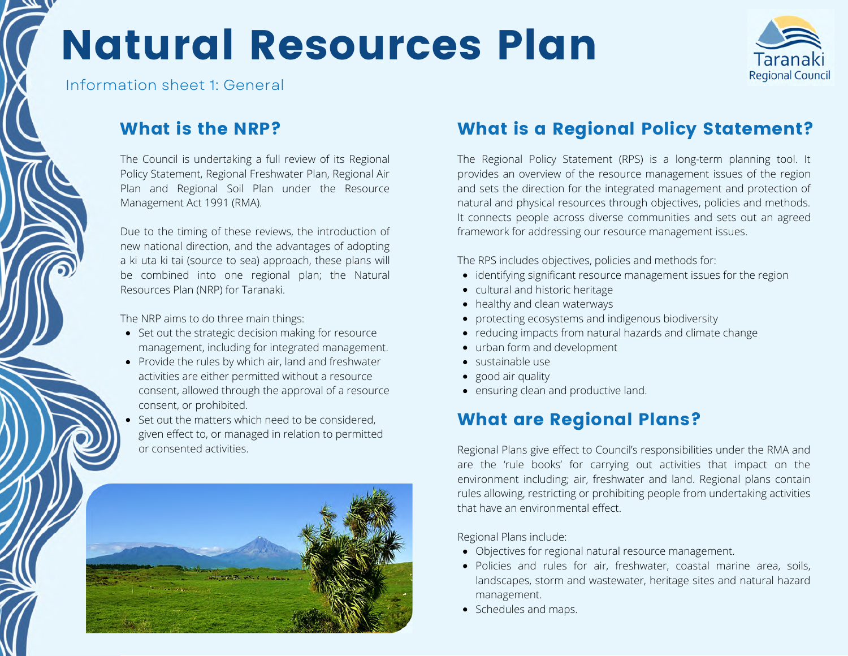# Natural Resources Plan



Information sheet 1: General

### What is the NRP?

The Council is undertaking a full review of its Regional Policy Statement, Regional Freshwater Plan, Regional Air Plan and Regional Soil Plan under the Resource Management Act 1991 (RMA).

Due to the timing of these reviews, the introduction of new national direction, and the advantages of adopting a ki uta ki tai (source to sea) approach, these plans will be combined into one regional plan; the Natural Resources Plan (NRP) for Taranaki.

The NRP aims to do three main things:

- Set out the strategic decision making for resource management, including for integrated management.
- Provide the rules by which air, land and freshwater activities are either permitted without a resource consent, allowed through the approval of a resource consent, or prohibited.
- Set out the matters which need to be considered, given effect to, or managed in relation to permitted or consented activities.



### What is a Regional Policy Statement?

The Regional Policy Statement (RPS) is a long-term planning tool. It provides an overview of the resource management issues of the region and sets the direction for the integrated management and protection of natural and physical resources through objectives, policies and methods. It connects people across diverse communities and sets out an agreed framework for addressing our resource management issues.

The RPS includes objectives, policies and methods for:

- identifying significant resource management issues for the region
- cultural and historic heritage
- healthy and clean waterways
- protecting ecosystems and indigenous biodiversity
- reducing impacts from natural hazards and climate change
- urban form and development
- sustainable use
- good air quality
- ensuring clean and productive land.

## What are Regional Plans?

Regional Plans give effect to Council's responsibilities under the RMA and are the 'rule books' for carrying out activities that impact on the environment including; air, freshwater and land. Regional plans contain rules allowing, restricting or prohibiting people from undertaking activities that have an environmental effect.

Regional Plans include:

- Objectives for regional natural resource management.
- Policies and rules for air, freshwater, coastal marine area, soils, landscapes, storm and wastewater, heritage sites and natural hazard management.
- Schedules and maps.